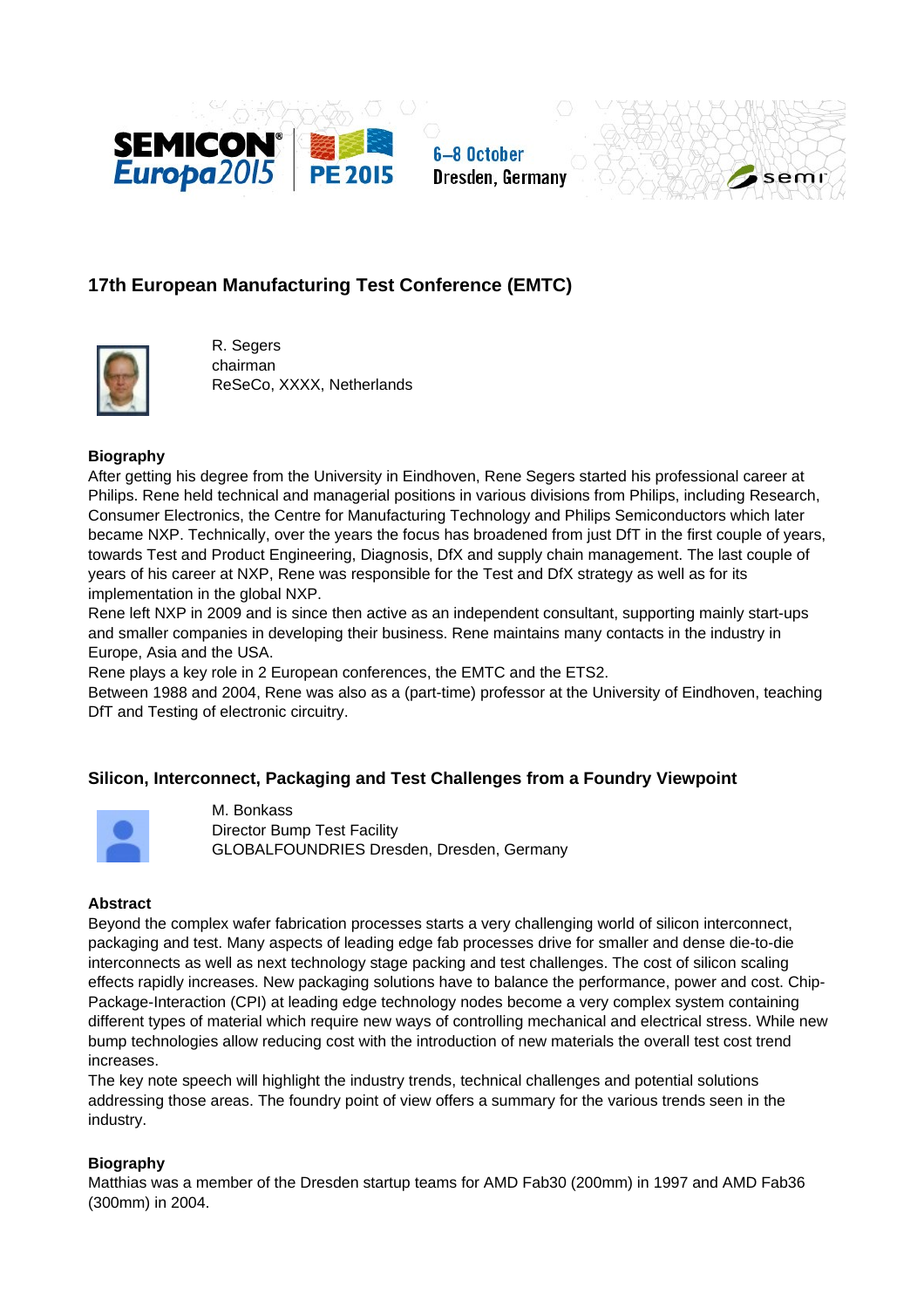

6-8 October Dresden, Germany



# **17th European Manufacturing Test Conference (EMTC)**



R. Segers chairman ReSeCo, XXXX, Netherlands

## **Biography**

After getting his degree from the University in Eindhoven, Rene Segers started his professional career at Philips. Rene held technical and managerial positions in various divisions from Philips, including Research, Consumer Electronics, the Centre for Manufacturing Technology and Philips Semiconductors which later became NXP. Technically, over the years the focus has broadened from just DfT in the first couple of years, towards Test and Product Engineering, Diagnosis, DfX and supply chain management. The last couple of years of his career at NXP, Rene was responsible for the Test and DfX strategy as well as for its implementation in the global NXP.

Rene left NXP in 2009 and is since then active as an independent consultant, supporting mainly start-ups and smaller companies in developing their business. Rene maintains many contacts in the industry in Europe, Asia and the USA.

Rene plays a key role in 2 European conferences, the EMTC and the ETS2.

Between 1988 and 2004, Rene was also as a (part-time) professor at the University of Eindhoven, teaching DfT and Testing of electronic circuitry.

## **Silicon, Interconnect, Packaging and Test Challenges from a Foundry Viewpoint**



M. Bonkass Director Bump Test Facility GLOBALFOUNDRIES Dresden, Dresden, Germany

## **Abstract**

Beyond the complex wafer fabrication processes starts a very challenging world of silicon interconnect, packaging and test. Many aspects of leading edge fab processes drive for smaller and dense die-to-die interconnects as well as next technology stage packing and test challenges. The cost of silicon scaling effects rapidly increases. New packaging solutions have to balance the performance, power and cost. Chip-Package-Interaction (CPI) at leading edge technology nodes become a very complex system containing different types of material which require new ways of controlling mechanical and electrical stress. While new bump technologies allow reducing cost with the introduction of new materials the overall test cost trend increases.

The key note speech will highlight the industry trends, technical challenges and potential solutions addressing those areas. The foundry point of view offers a summary for the various trends seen in the industry.

## **Biography**

Matthias was a member of the Dresden startup teams for AMD Fab30 (200mm) in 1997 and AMD Fab36 (300mm) in 2004.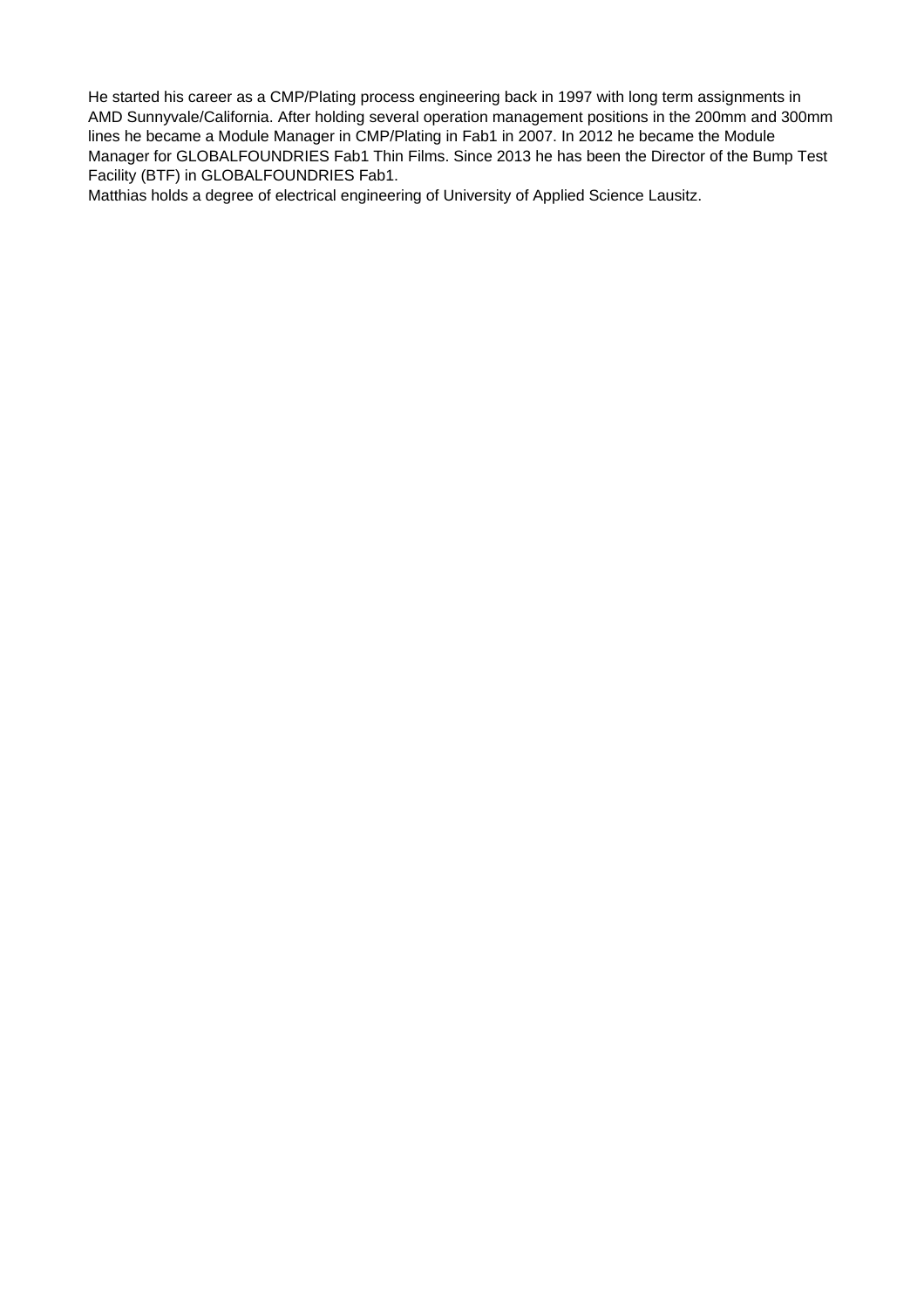He started his career as a CMP/Plating process engineering back in 1997 with long term assignments in AMD Sunnyvale/California. After holding several operation management positions in the 200mm and 300mm lines he became a Module Manager in CMP/Plating in Fab1 in 2007. In 2012 he became the Module Manager for GLOBALFOUNDRIES Fab1 Thin Films. Since 2013 he has been the Director of the Bump Test Facility (BTF) in GLOBALFOUNDRIES Fab1.

Matthias holds a degree of electrical engineering of University of Applied Science Lausitz.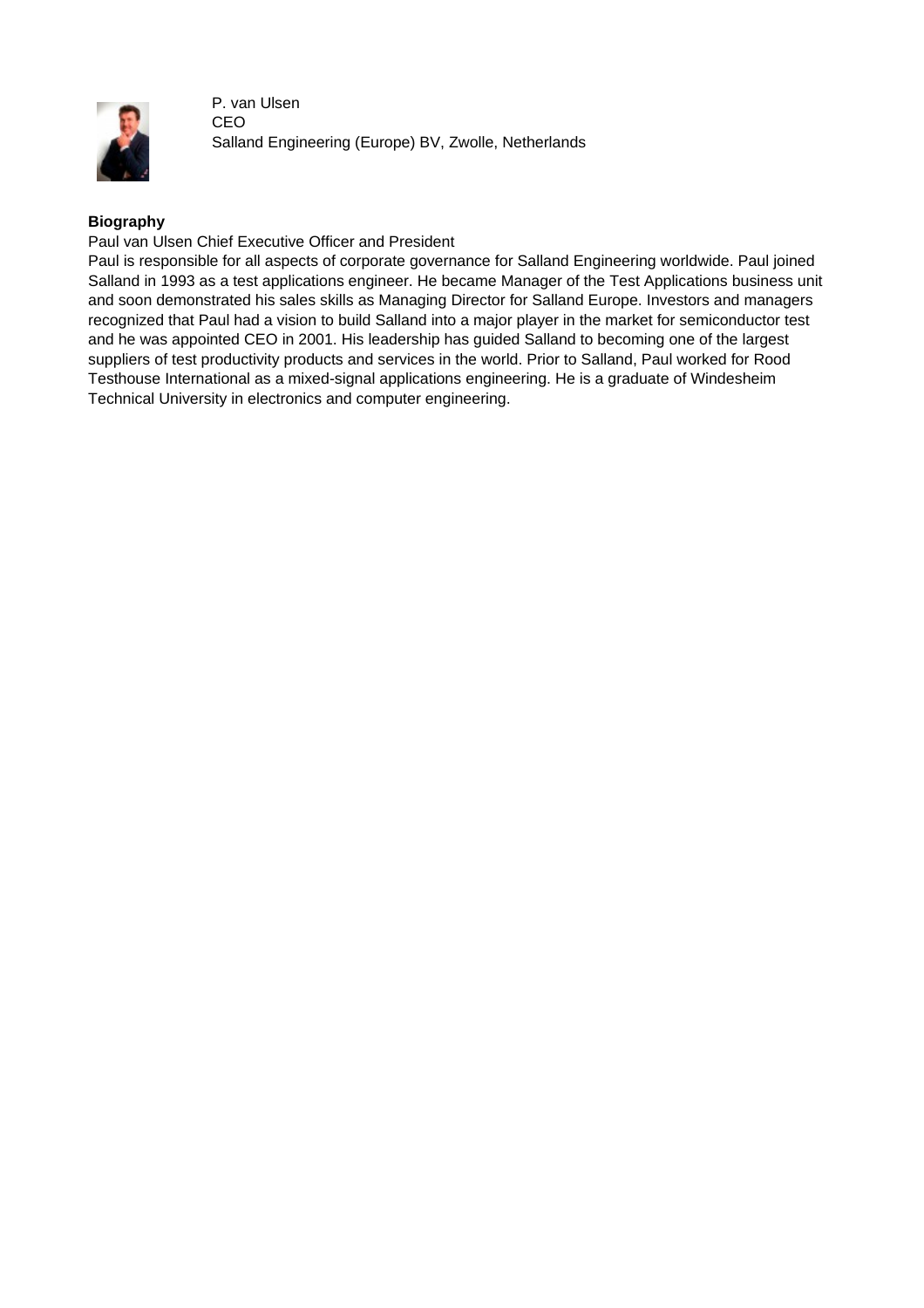

P. van Ulsen CEO Salland Engineering (Europe) BV, Zwolle, Netherlands

## **Biography**

Paul van Ulsen Chief Executive Officer and President

Paul is responsible for all aspects of corporate governance for Salland Engineering worldwide. Paul joined Salland in 1993 as a test applications engineer. He became Manager of the Test Applications business unit and soon demonstrated his sales skills as Managing Director for Salland Europe. Investors and managers recognized that Paul had a vision to build Salland into a major player in the market for semiconductor test and he was appointed CEO in 2001. His leadership has guided Salland to becoming one of the largest suppliers of test productivity products and services in the world. Prior to Salland, Paul worked for Rood Testhouse International as a mixed-signal applications engineering. He is a graduate of Windesheim Technical University in electronics and computer engineering.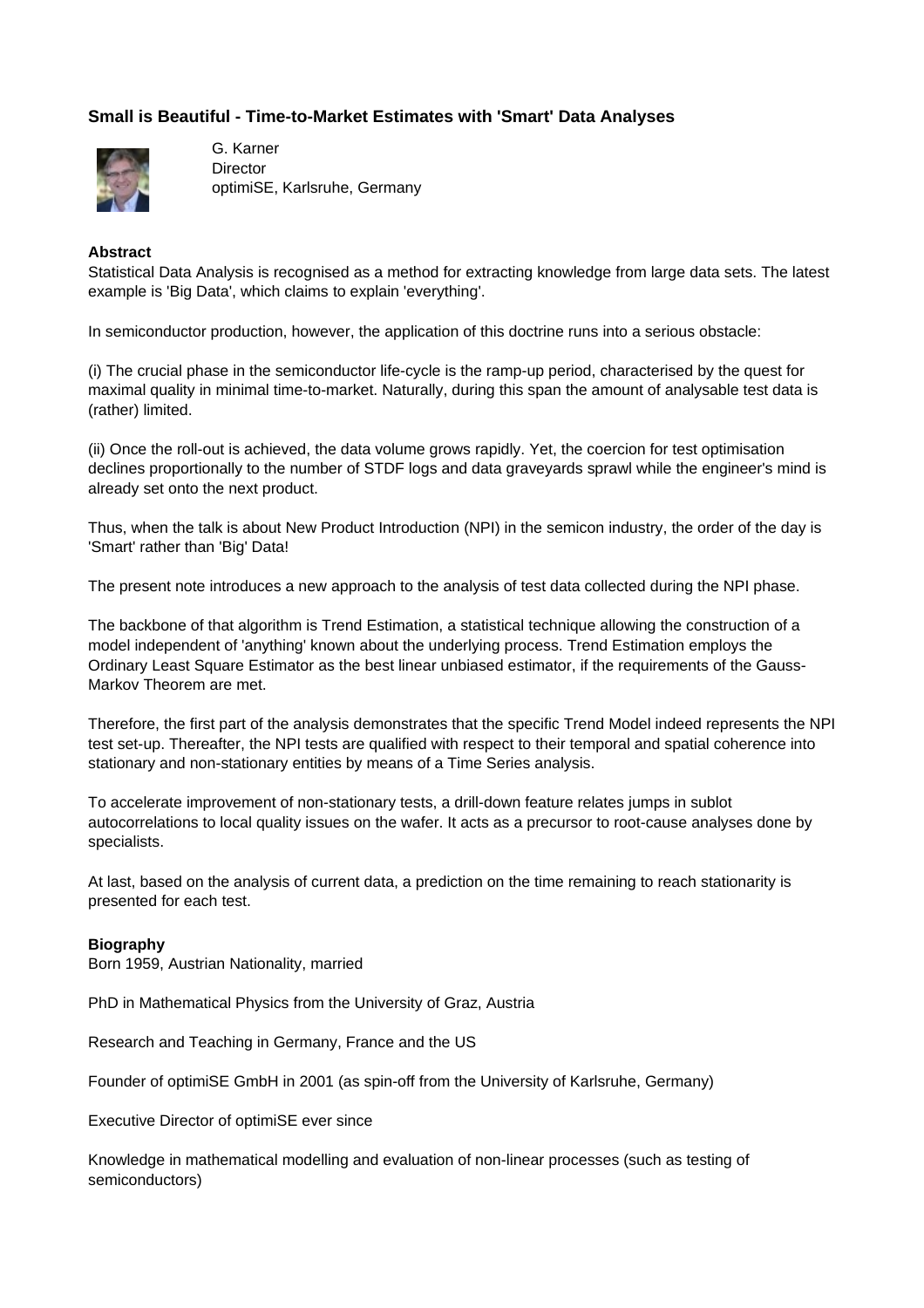## **Small is Beautiful - Time-to-Market Estimates with 'Smart' Data Analyses**



G. Karner **Director** optimiSE, Karlsruhe, Germany

#### **Abstract**

Statistical Data Analysis is recognised as a method for extracting knowledge from large data sets. The latest example is 'Big Data', which claims to explain 'everything'.

In semiconductor production, however, the application of this doctrine runs into a serious obstacle:

(i) The crucial phase in the semiconductor life-cycle is the ramp-up period, characterised by the quest for maximal quality in minimal time-to-market. Naturally, during this span the amount of analysable test data is (rather) limited.

(ii) Once the roll-out is achieved, the data volume grows rapidly. Yet, the coercion for test optimisation declines proportionally to the number of STDF logs and data graveyards sprawl while the engineer's mind is already set onto the next product.

Thus, when the talk is about New Product Introduction (NPI) in the semicon industry, the order of the day is 'Smart' rather than 'Big' Data!

The present note introduces a new approach to the analysis of test data collected during the NPI phase.

The backbone of that algorithm is Trend Estimation, a statistical technique allowing the construction of a model independent of 'anything' known about the underlying process. Trend Estimation employs the Ordinary Least Square Estimator as the best linear unbiased estimator, if the requirements of the Gauss-Markov Theorem are met.

Therefore, the first part of the analysis demonstrates that the specific Trend Model indeed represents the NPI test set-up. Thereafter, the NPI tests are qualified with respect to their temporal and spatial coherence into stationary and non-stationary entities by means of a Time Series analysis.

To accelerate improvement of non-stationary tests, a drill-down feature relates jumps in sublot autocorrelations to local quality issues on the wafer. It acts as a precursor to root-cause analyses done by specialists.

At last, based on the analysis of current data, a prediction on the time remaining to reach stationarity is presented for each test.

## **Biography**

Born 1959, Austrian Nationality, married

PhD in Mathematical Physics from the University of Graz, Austria

Research and Teaching in Germany, France and the US

Founder of optimiSE GmbH in 2001 (as spin-off from the University of Karlsruhe, Germany)

Executive Director of optimiSE ever since

Knowledge in mathematical modelling and evaluation of non-linear processes (such as testing of semiconductors)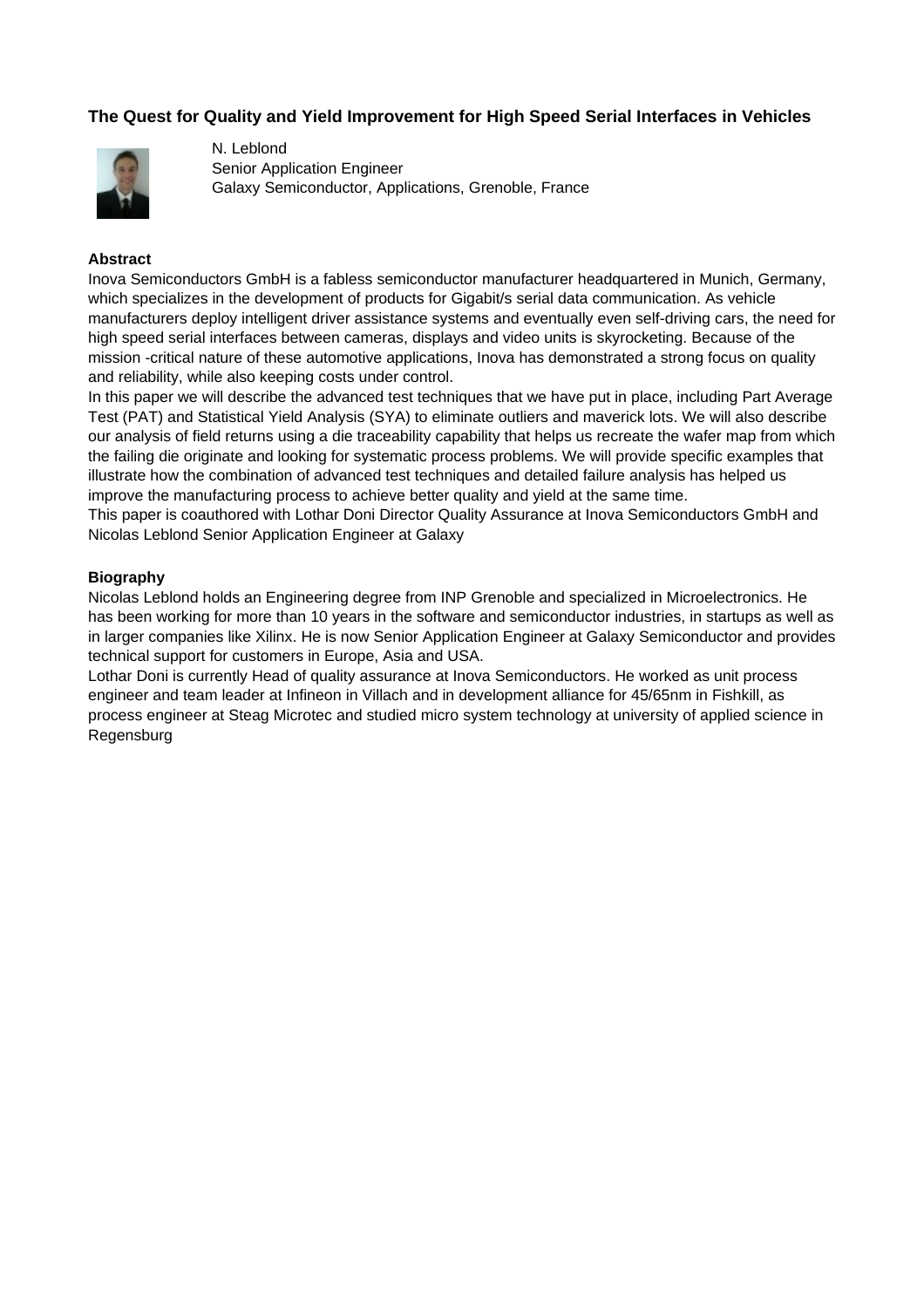## **The Quest for Quality and Yield Improvement for High Speed Serial Interfaces in Vehicles**



N. Leblond Senior Application Engineer Galaxy Semiconductor, Applications, Grenoble, France

### **Abstract**

Inova Semiconductors GmbH is a fabless semiconductor manufacturer headquartered in Munich, Germany, which specializes in the development of products for Gigabit/s serial data communication. As vehicle manufacturers deploy intelligent driver assistance systems and eventually even self-driving cars, the need for high speed serial interfaces between cameras, displays and video units is skyrocketing. Because of the mission -critical nature of these automotive applications, Inova has demonstrated a strong focus on quality and reliability, while also keeping costs under control.

In this paper we will describe the advanced test techniques that we have put in place, including Part Average Test (PAT) and Statistical Yield Analysis (SYA) to eliminate outliers and maverick lots. We will also describe our analysis of field returns using a die traceability capability that helps us recreate the wafer map from which the failing die originate and looking for systematic process problems. We will provide specific examples that illustrate how the combination of advanced test techniques and detailed failure analysis has helped us improve the manufacturing process to achieve better quality and yield at the same time.

This paper is coauthored with Lothar Doni Director Quality Assurance at Inova Semiconductors GmbH and Nicolas Leblond Senior Application Engineer at Galaxy

#### **Biography**

Nicolas Leblond holds an Engineering degree from INP Grenoble and specialized in Microelectronics. He has been working for more than 10 years in the software and semiconductor industries, in startups as well as in larger companies like Xilinx. He is now Senior Application Engineer at Galaxy Semiconductor and provides technical support for customers in Europe, Asia and USA.

Lothar Doni is currently Head of quality assurance at Inova Semiconductors. He worked as unit process engineer and team leader at Infineon in Villach and in development alliance for 45/65nm in Fishkill, as process engineer at Steag Microtec and studied micro system technology at university of applied science in Regensburg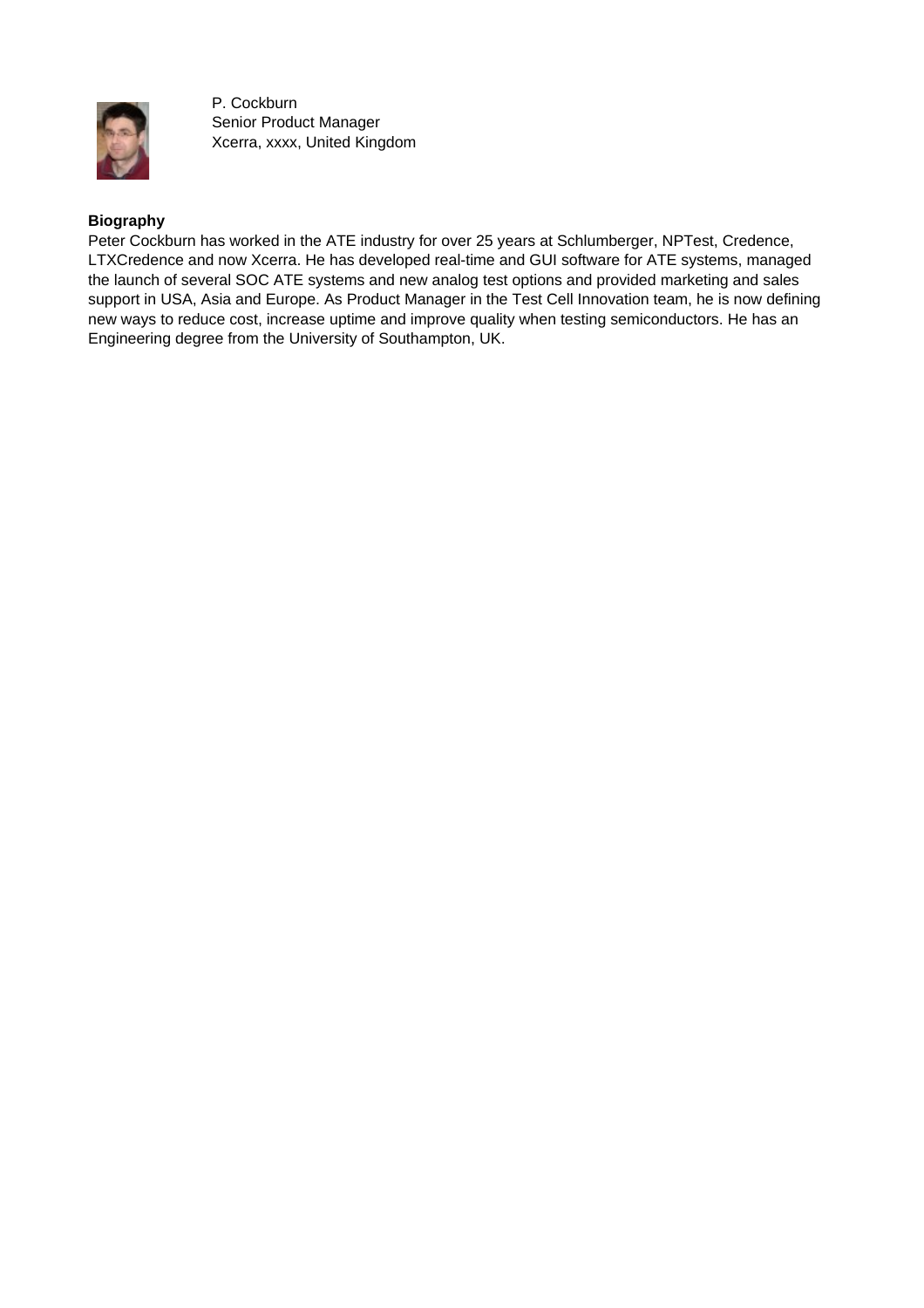

P. Cockburn Senior Product Manager Xcerra, xxxx, United Kingdom

## **Biography**

Peter Cockburn has worked in the ATE industry for over 25 years at Schlumberger, NPTest, Credence, LTXCredence and now Xcerra. He has developed real-time and GUI software for ATE systems, managed the launch of several SOC ATE systems and new analog test options and provided marketing and sales support in USA, Asia and Europe. As Product Manager in the Test Cell Innovation team, he is now defining new ways to reduce cost, increase uptime and improve quality when testing semiconductors. He has an Engineering degree from the University of Southampton, UK.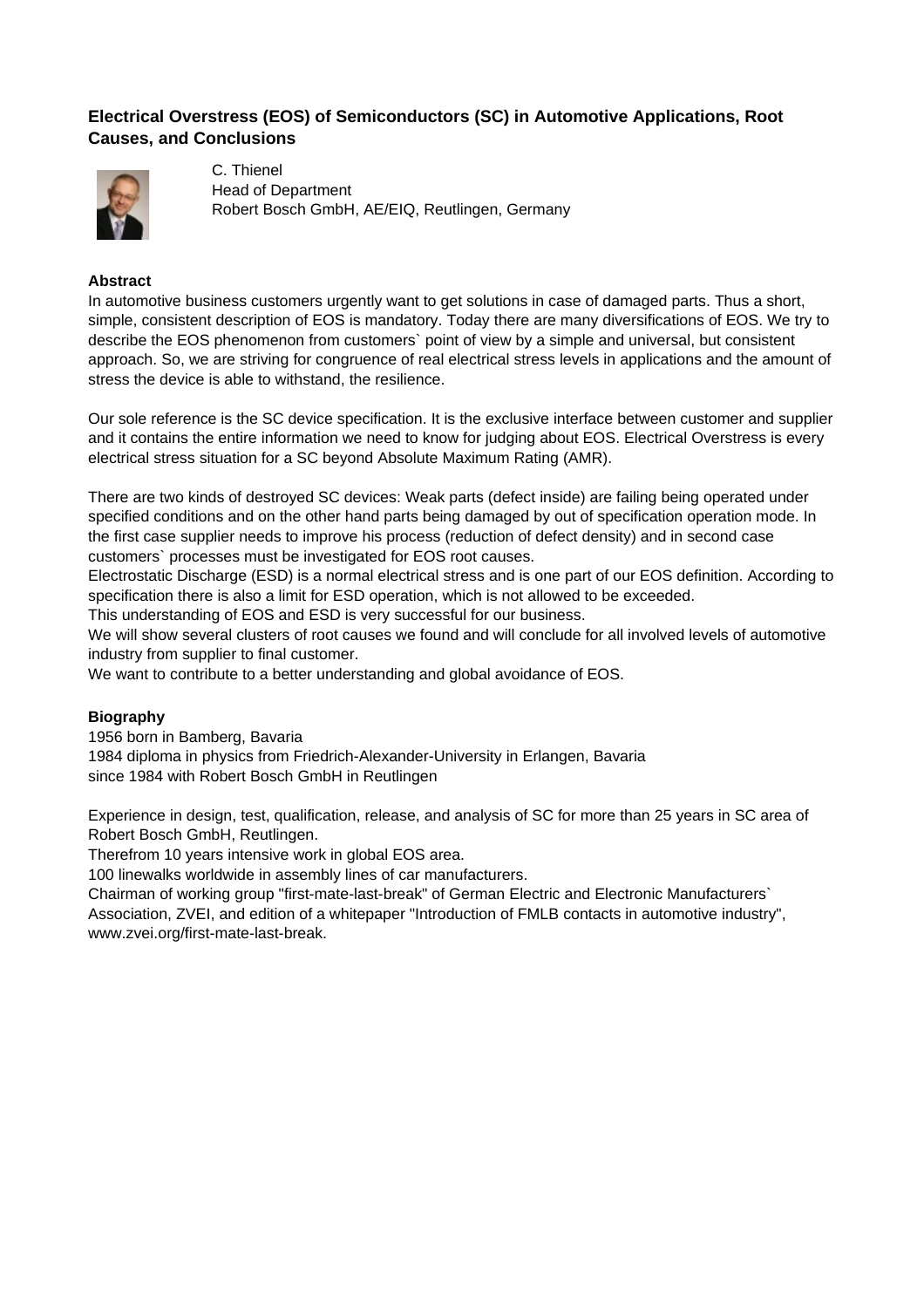## **Electrical Overstress (EOS) of Semiconductors (SC) in Automotive Applications, Root Causes, and Conclusions**



C. Thienel Head of Department Robert Bosch GmbH, AE/EIQ, Reutlingen, Germany

### **Abstract**

In automotive business customers urgently want to get solutions in case of damaged parts. Thus a short, simple, consistent description of EOS is mandatory. Today there are many diversifications of EOS. We try to describe the EOS phenomenon from customers` point of view by a simple and universal, but consistent approach. So, we are striving for congruence of real electrical stress levels in applications and the amount of stress the device is able to withstand, the resilience.

Our sole reference is the SC device specification. It is the exclusive interface between customer and supplier and it contains the entire information we need to know for judging about EOS. Electrical Overstress is every electrical stress situation for a SC beyond Absolute Maximum Rating (AMR).

There are two kinds of destroyed SC devices: Weak parts (defect inside) are failing being operated under specified conditions and on the other hand parts being damaged by out of specification operation mode. In the first case supplier needs to improve his process (reduction of defect density) and in second case customers` processes must be investigated for EOS root causes.

Electrostatic Discharge (ESD) is a normal electrical stress and is one part of our EOS definition. According to specification there is also a limit for ESD operation, which is not allowed to be exceeded.

This understanding of EOS and ESD is very successful for our business.

We will show several clusters of root causes we found and will conclude for all involved levels of automotive industry from supplier to final customer.

We want to contribute to a better understanding and global avoidance of EOS.

## **Biography**

1956 born in Bamberg, Bavaria 1984 diploma in physics from Friedrich-Alexander-University in Erlangen, Bavaria since 1984 with Robert Bosch GmbH in Reutlingen

Experience in design, test, qualification, release, and analysis of SC for more than 25 years in SC area of Robert Bosch GmbH, Reutlingen.

Therefrom 10 years intensive work in global EOS area.

100 linewalks worldwide in assembly lines of car manufacturers.

Chairman of working group "first-mate-last-break" of German Electric and Electronic Manufacturers`

Association, ZVEI, and edition of a whitepaper "Introduction of FMLB contacts in automotive industry", www.zvei.org/first-mate-last-break.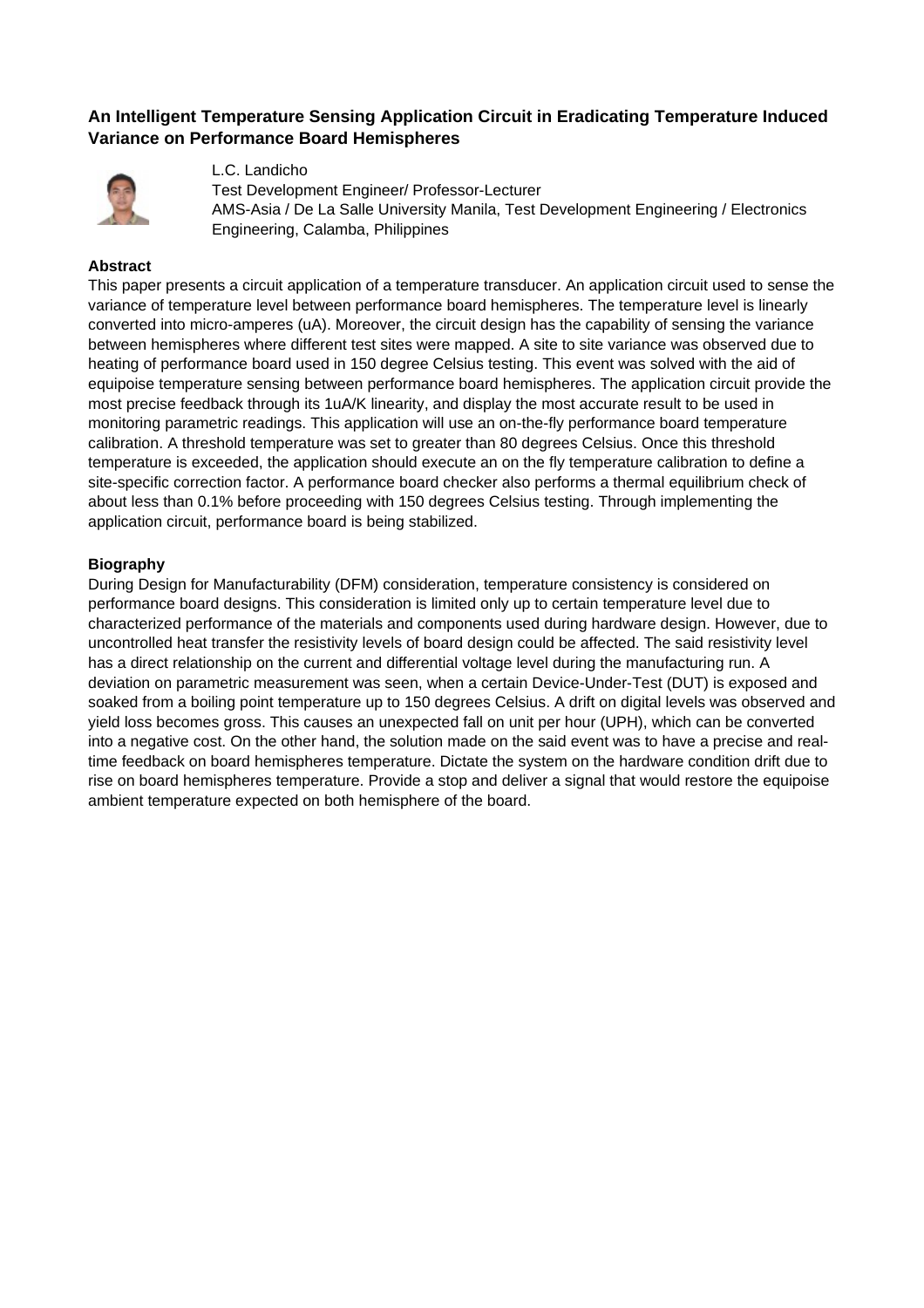## **An Intelligent Temperature Sensing Application Circuit in Eradicating Temperature Induced Variance on Performance Board Hemispheres**



L.C. Landicho Test Development Engineer/ Professor-Lecturer AMS-Asia / De La Salle University Manila, Test Development Engineering / Electronics Engineering, Calamba, Philippines

## **Abstract**

This paper presents a circuit application of a temperature transducer. An application circuit used to sense the variance of temperature level between performance board hemispheres. The temperature level is linearly converted into micro-amperes (uA). Moreover, the circuit design has the capability of sensing the variance between hemispheres where different test sites were mapped. A site to site variance was observed due to heating of performance board used in 150 degree Celsius testing. This event was solved with the aid of equipoise temperature sensing between performance board hemispheres. The application circuit provide the most precise feedback through its 1uA/K linearity, and display the most accurate result to be used in monitoring parametric readings. This application will use an on-the-fly performance board temperature calibration. A threshold temperature was set to greater than 80 degrees Celsius. Once this threshold temperature is exceeded, the application should execute an on the fly temperature calibration to define a site-specific correction factor. A performance board checker also performs a thermal equilibrium check of about less than 0.1% before proceeding with 150 degrees Celsius testing. Through implementing the application circuit, performance board is being stabilized.

### **Biography**

During Design for Manufacturability (DFM) consideration, temperature consistency is considered on performance board designs. This consideration is limited only up to certain temperature level due to characterized performance of the materials and components used during hardware design. However, due to uncontrolled heat transfer the resistivity levels of board design could be affected. The said resistivity level has a direct relationship on the current and differential voltage level during the manufacturing run. A deviation on parametric measurement was seen, when a certain Device-Under-Test (DUT) is exposed and soaked from a boiling point temperature up to 150 degrees Celsius. A drift on digital levels was observed and yield loss becomes gross. This causes an unexpected fall on unit per hour (UPH), which can be converted into a negative cost. On the other hand, the solution made on the said event was to have a precise and realtime feedback on board hemispheres temperature. Dictate the system on the hardware condition drift due to rise on board hemispheres temperature. Provide a stop and deliver a signal that would restore the equipoise ambient temperature expected on both hemisphere of the board.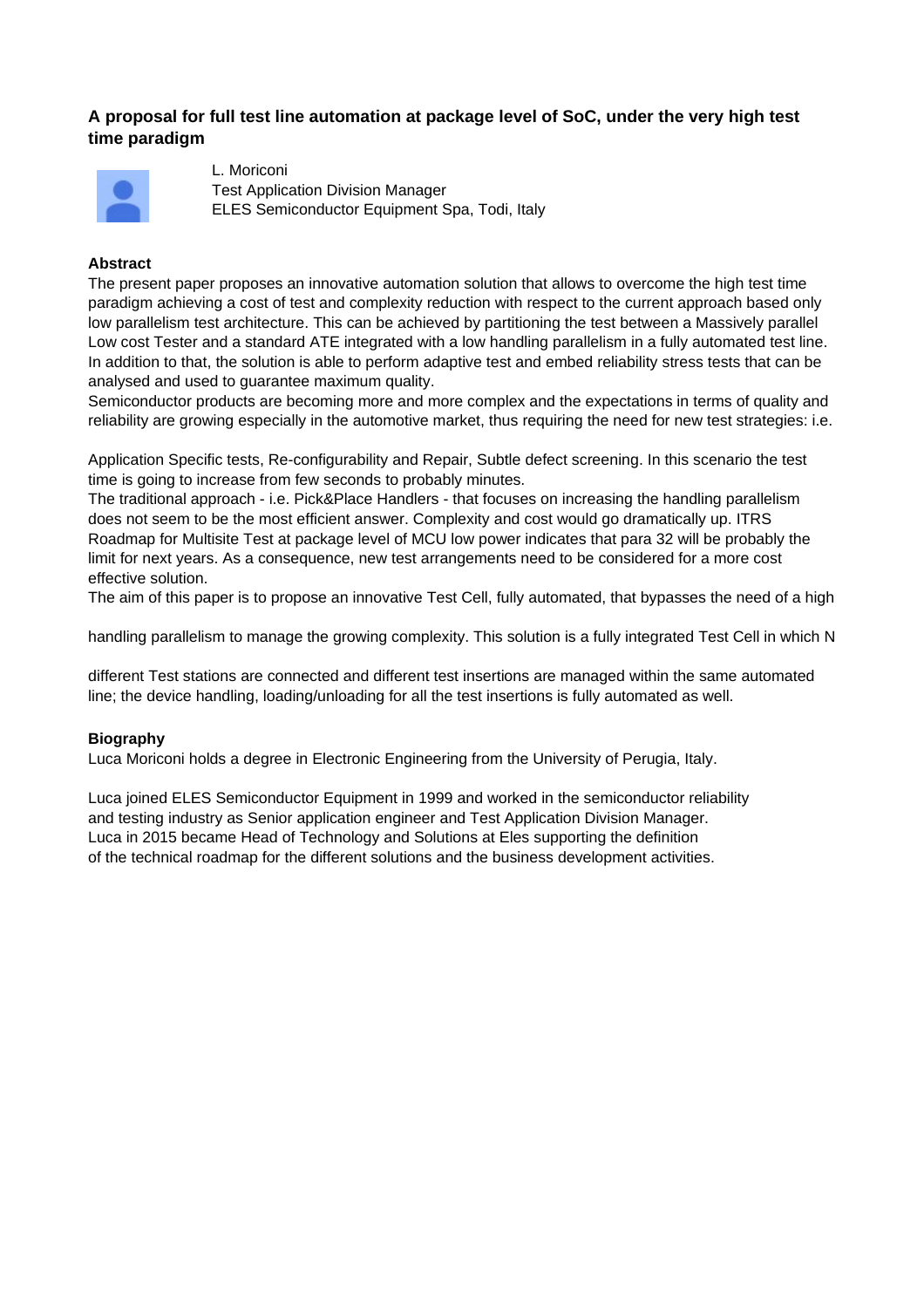## **A proposal for full test line automation at package level of SoC, under the very high test time paradigm**



L. Moriconi Test Application Division Manager ELES Semiconductor Equipment Spa, Todi, Italy

## **Abstract**

The present paper proposes an innovative automation solution that allows to overcome the high test time paradigm achieving a cost of test and complexity reduction with respect to the current approach based only low parallelism test architecture. This can be achieved by partitioning the test between a Massively parallel Low cost Tester and a standard ATE integrated with a low handling parallelism in a fully automated test line. In addition to that, the solution is able to perform adaptive test and embed reliability stress tests that can be analysed and used to guarantee maximum quality.

Semiconductor products are becoming more and more complex and the expectations in terms of quality and reliability are growing especially in the automotive market, thus requiring the need for new test strategies: i.e.

Application Specific tests, Re-configurability and Repair, Subtle defect screening. In this scenario the test time is going to increase from few seconds to probably minutes.

The traditional approach - i.e. Pick&Place Handlers - that focuses on increasing the handling parallelism does not seem to be the most efficient answer. Complexity and cost would go dramatically up. ITRS Roadmap for Multisite Test at package level of MCU low power indicates that para 32 will be probably the limit for next years. As a consequence, new test arrangements need to be considered for a more cost effective solution.

The aim of this paper is to propose an innovative Test Cell, fully automated, that bypasses the need of a high

handling parallelism to manage the growing complexity. This solution is a fully integrated Test Cell in which N

different Test stations are connected and different test insertions are managed within the same automated line; the device handling, loading/unloading for all the test insertions is fully automated as well.

## **Biography**

Luca Moriconi holds a degree in Electronic Engineering from the University of Perugia, Italy.

Luca joined ELES Semiconductor Equipment in 1999 and worked in the semiconductor reliability and testing industry as Senior application engineer and Test Application Division Manager. Luca in 2015 became Head of Technology and Solutions at Eles supporting the definition of the technical roadmap for the different solutions and the business development activities.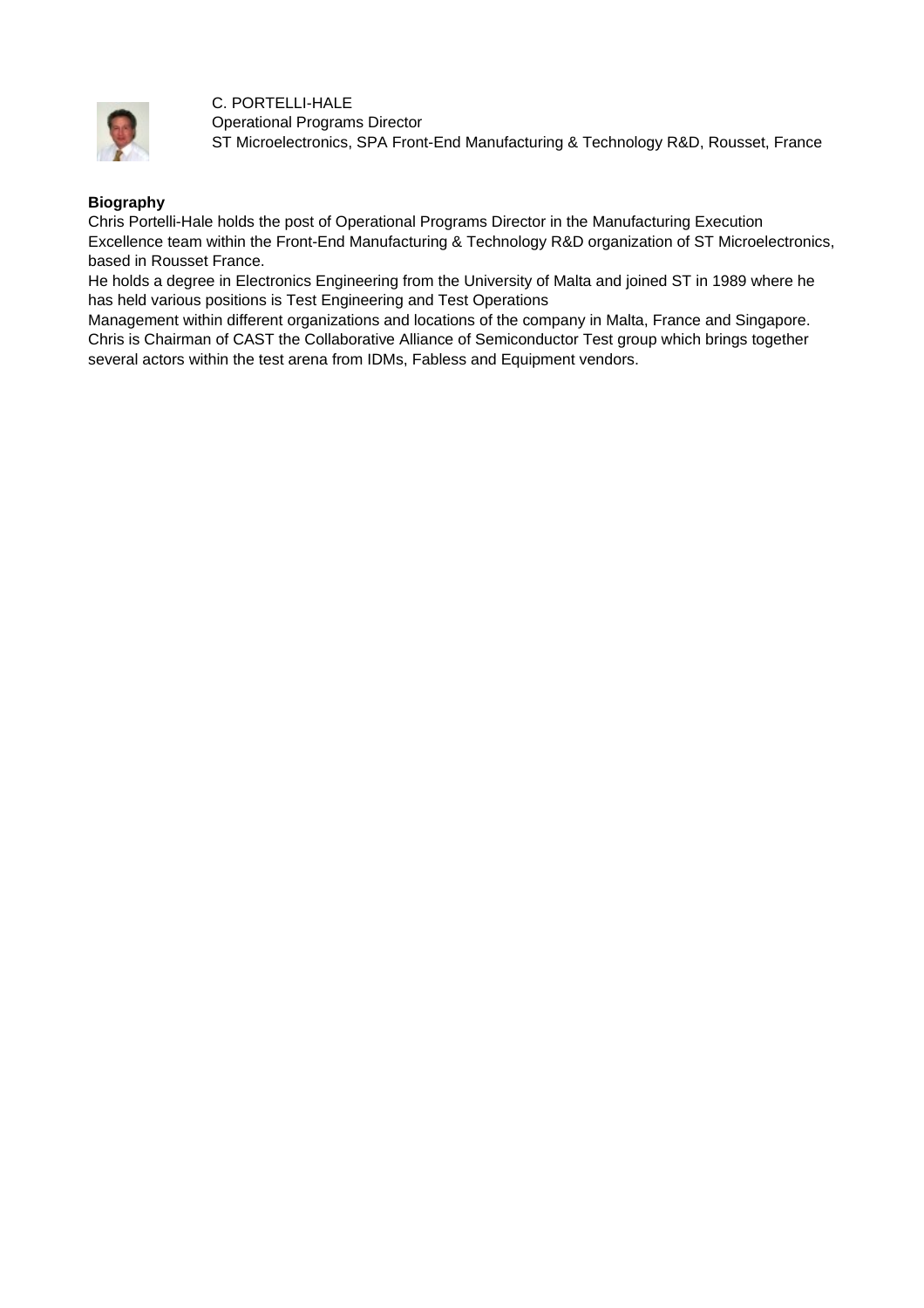

C. PORTELLI-HALE Operational Programs Director ST Microelectronics, SPA Front-End Manufacturing & Technology R&D, Rousset, France

## **Biography**

Chris Portelli-Hale holds the post of Operational Programs Director in the Manufacturing Execution Excellence team within the Front-End Manufacturing & Technology R&D organization of ST Microelectronics, based in Rousset France.

He holds a degree in Electronics Engineering from the University of Malta and joined ST in 1989 where he has held various positions is Test Engineering and Test Operations

Management within different organizations and locations of the company in Malta, France and Singapore. Chris is Chairman of CAST the Collaborative Alliance of Semiconductor Test group which brings together several actors within the test arena from IDMs, Fabless and Equipment vendors.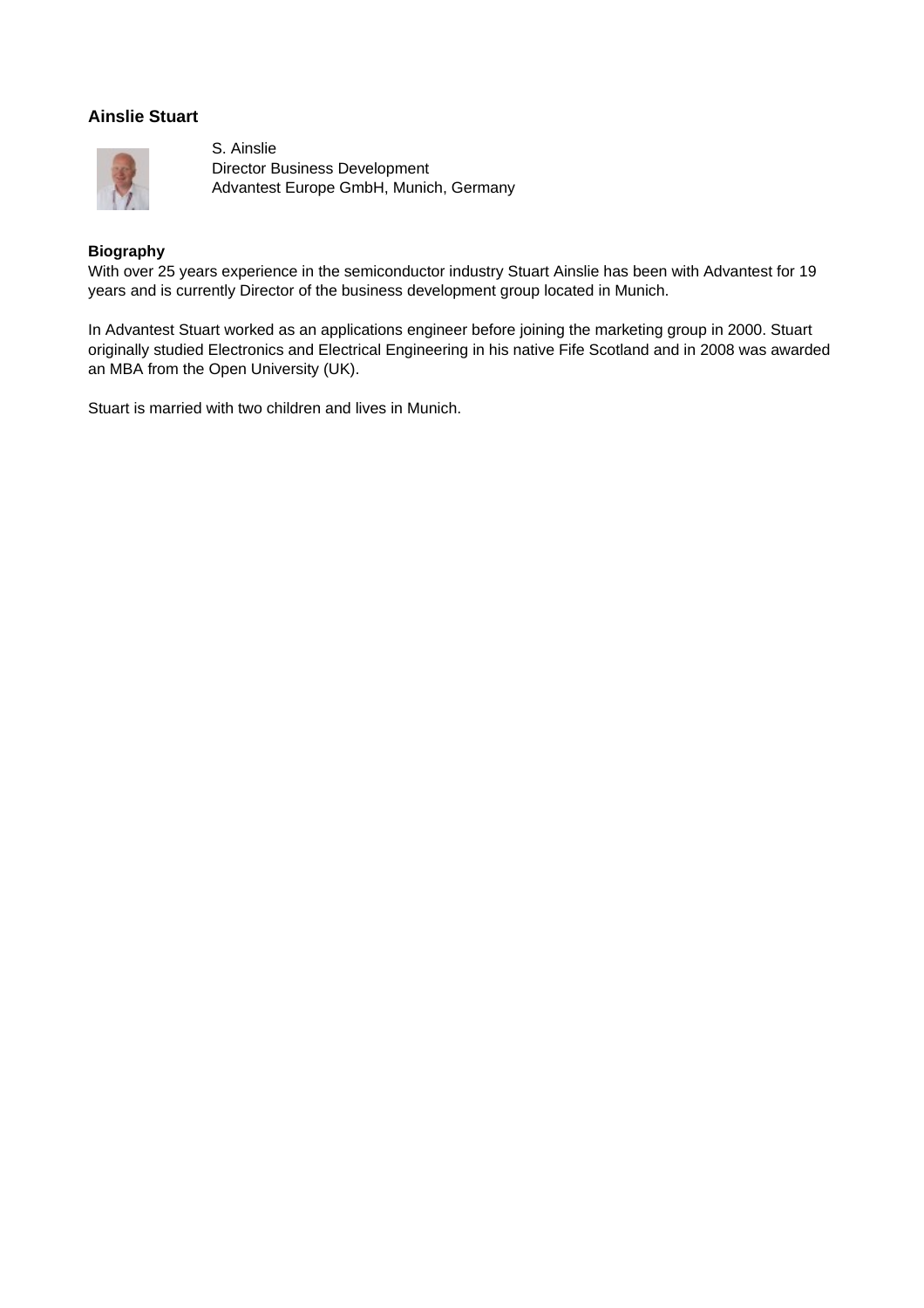## **Ainslie Stuart**



S. Ainslie Director Business Development Advantest Europe GmbH, Munich, Germany

## **Biography**

With over 25 years experience in the semiconductor industry Stuart Ainslie has been with Advantest for 19 years and is currently Director of the business development group located in Munich.

In Advantest Stuart worked as an applications engineer before joining the marketing group in 2000. Stuart originally studied Electronics and Electrical Engineering in his native Fife Scotland and in 2008 was awarded an MBA from the Open University (UK).

Stuart is married with two children and lives in Munich.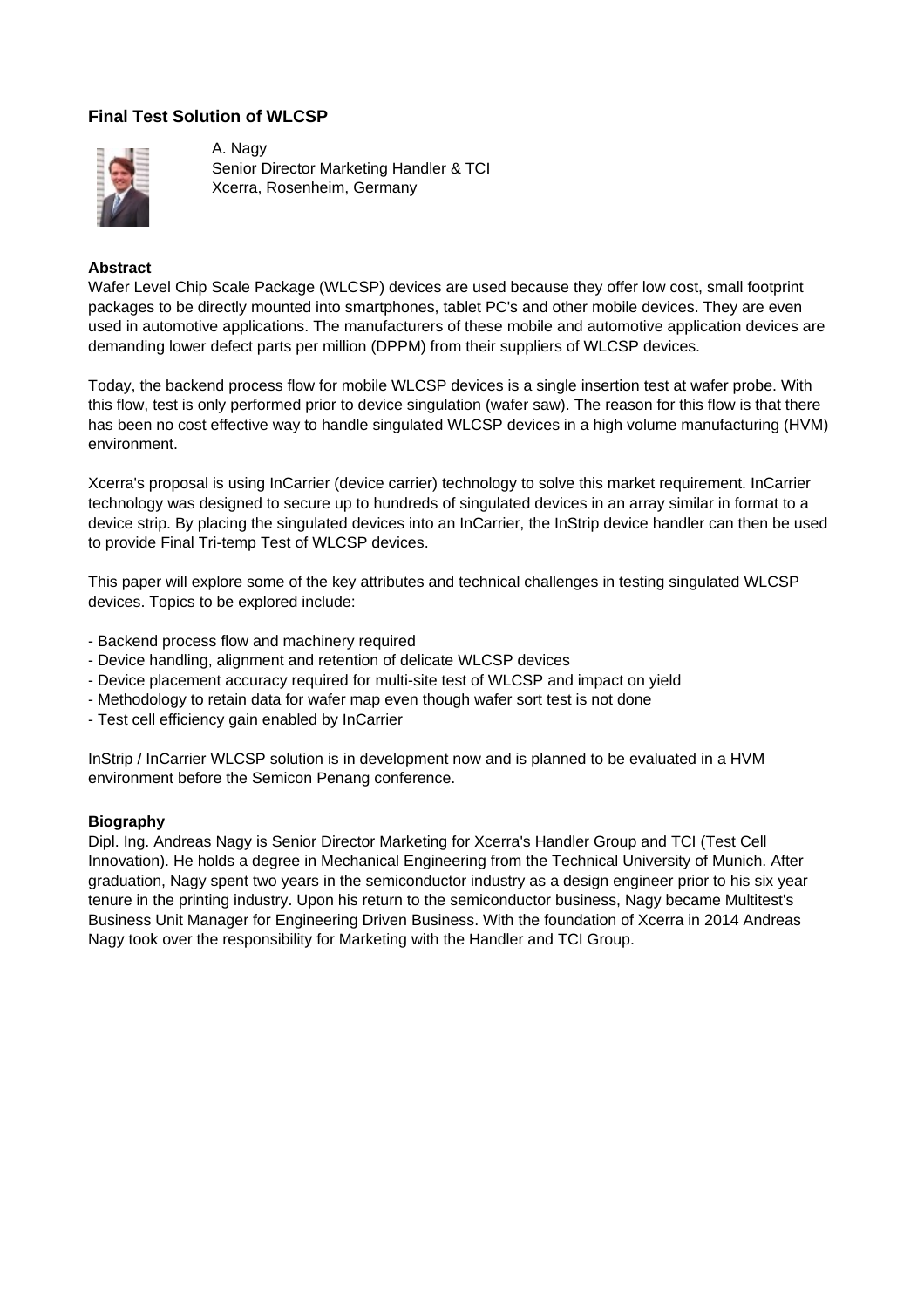## **Final Test Solution of WLCSP**



A. Nagy Senior Director Marketing Handler & TCI Xcerra, Rosenheim, Germany

### **Abstract**

Wafer Level Chip Scale Package (WLCSP) devices are used because they offer low cost, small footprint packages to be directly mounted into smartphones, tablet PC's and other mobile devices. They are even used in automotive applications. The manufacturers of these mobile and automotive application devices are demanding lower defect parts per million (DPPM) from their suppliers of WLCSP devices.

Today, the backend process flow for mobile WLCSP devices is a single insertion test at wafer probe. With this flow, test is only performed prior to device singulation (wafer saw). The reason for this flow is that there has been no cost effective way to handle singulated WLCSP devices in a high volume manufacturing (HVM) environment.

Xcerra's proposal is using InCarrier (device carrier) technology to solve this market requirement. InCarrier technology was designed to secure up to hundreds of singulated devices in an array similar in format to a device strip. By placing the singulated devices into an InCarrier, the InStrip device handler can then be used to provide Final Tri-temp Test of WLCSP devices.

This paper will explore some of the key attributes and technical challenges in testing singulated WLCSP devices. Topics to be explored include:

- Backend process flow and machinery required
- Device handling, alignment and retention of delicate WLCSP devices
- Device placement accuracy required for multi-site test of WLCSP and impact on yield
- Methodology to retain data for wafer map even though wafer sort test is not done
- Test cell efficiency gain enabled by InCarrier

InStrip / InCarrier WLCSP solution is in development now and is planned to be evaluated in a HVM environment before the Semicon Penang conference.

#### **Biography**

Dipl. Ing. Andreas Nagy is Senior Director Marketing for Xcerra's Handler Group and TCI (Test Cell Innovation). He holds a degree in Mechanical Engineering from the Technical University of Munich. After graduation, Nagy spent two years in the semiconductor industry as a design engineer prior to his six year tenure in the printing industry. Upon his return to the semiconductor business, Nagy became Multitest's Business Unit Manager for Engineering Driven Business. With the foundation of Xcerra in 2014 Andreas Nagy took over the responsibility for Marketing with the Handler and TCI Group.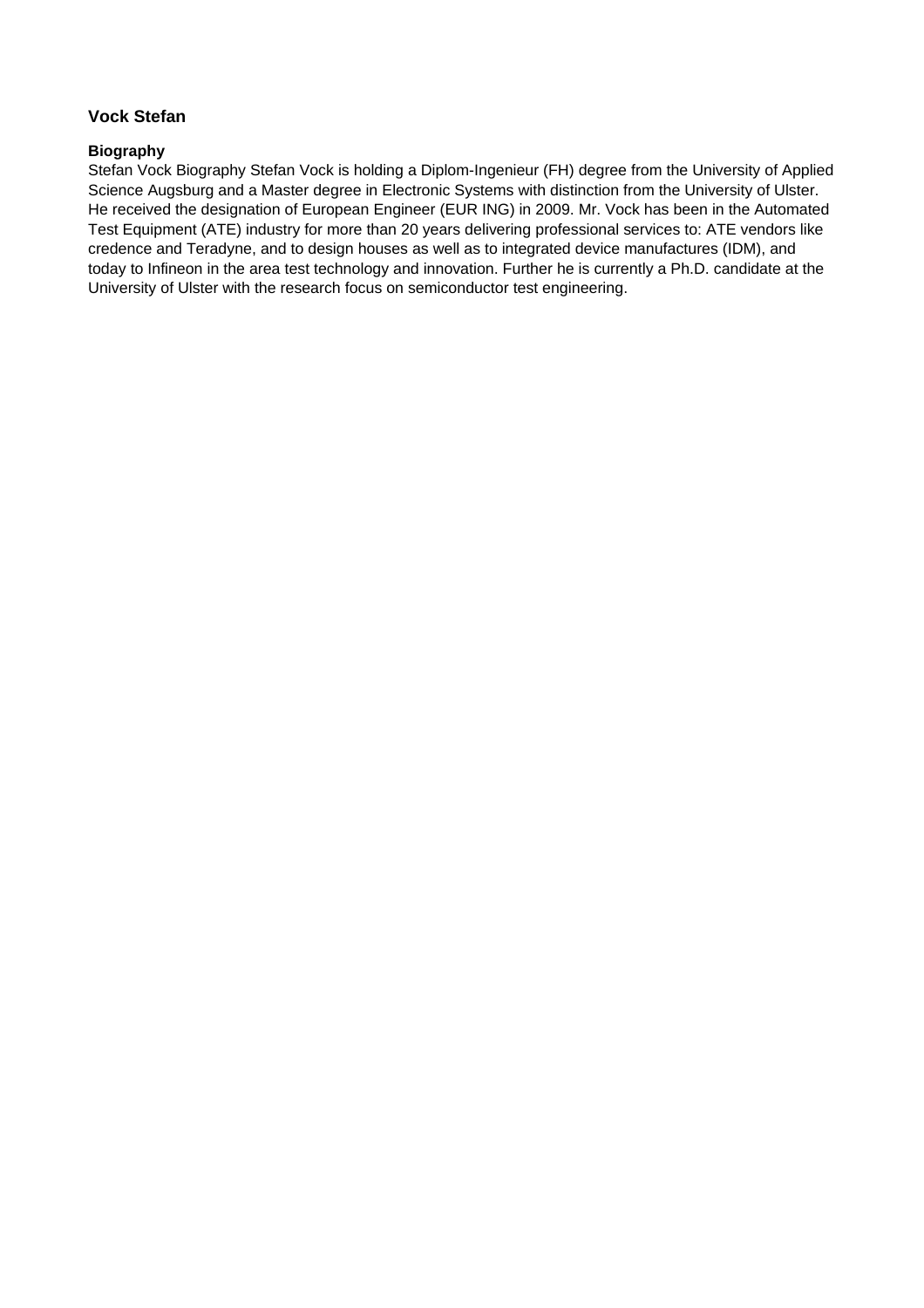## **Vock Stefan**

## **Biography**

Stefan Vock Biography Stefan Vock is holding a Diplom-Ingenieur (FH) degree from the University of Applied Science Augsburg and a Master degree in Electronic Systems with distinction from the University of Ulster. He received the designation of European Engineer (EUR ING) in 2009. Mr. Vock has been in the Automated Test Equipment (ATE) industry for more than 20 years delivering professional services to: ATE vendors like credence and Teradyne, and to design houses as well as to integrated device manufactures (IDM), and today to Infineon in the area test technology and innovation. Further he is currently a Ph.D. candidate at the University of Ulster with the research focus on semiconductor test engineering.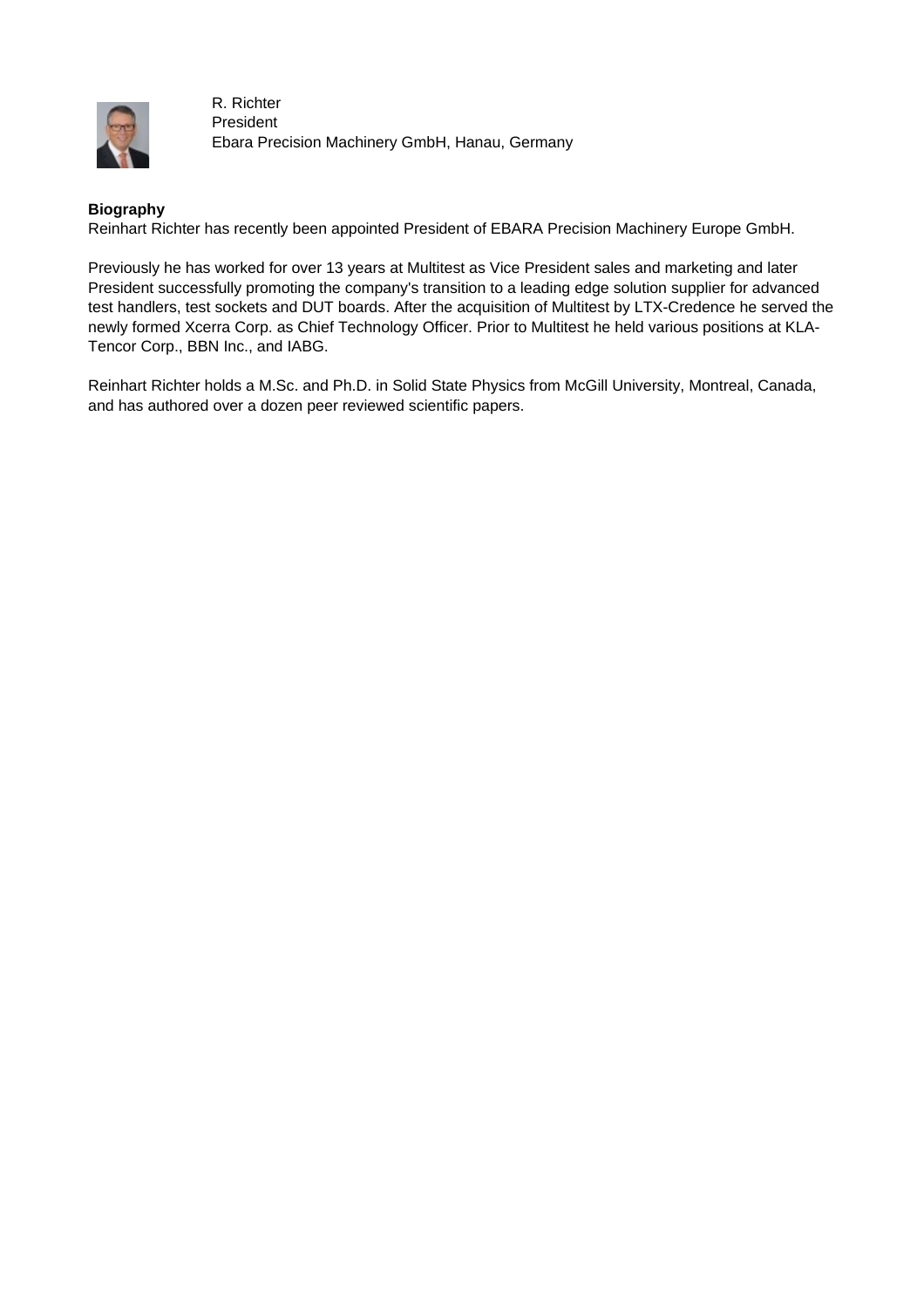

R. Richter President Ebara Precision Machinery GmbH, Hanau, Germany

## **Biography**

Reinhart Richter has recently been appointed President of EBARA Precision Machinery Europe GmbH.

Previously he has worked for over 13 years at Multitest as Vice President sales and marketing and later President successfully promoting the company's transition to a leading edge solution supplier for advanced test handlers, test sockets and DUT boards. After the acquisition of Multitest by LTX-Credence he served the newly formed Xcerra Corp. as Chief Technology Officer. Prior to Multitest he held various positions at KLA-Tencor Corp., BBN Inc., and IABG.

Reinhart Richter holds a M.Sc. and Ph.D. in Solid State Physics from McGill University, Montreal, Canada, and has authored over a dozen peer reviewed scientific papers.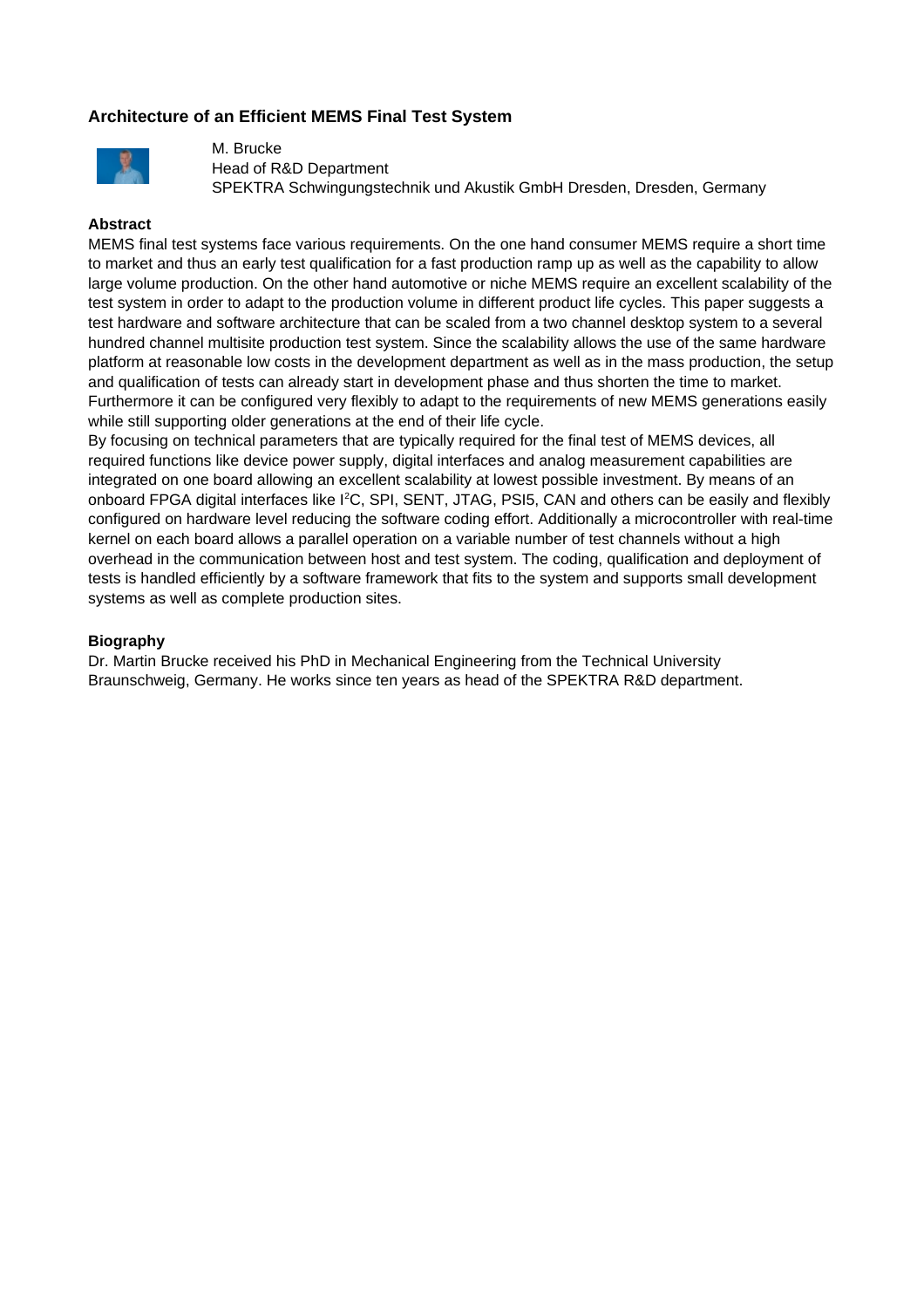## **Architecture of an Efficient MEMS Final Test System**



M. Brucke Head of R&D Department SPEKTRA Schwingungstechnik und Akustik GmbH Dresden, Dresden, Germany

### **Abstract**

MEMS final test systems face various requirements. On the one hand consumer MEMS require a short time to market and thus an early test qualification for a fast production ramp up as well as the capability to allow large volume production. On the other hand automotive or niche MEMS require an excellent scalability of the test system in order to adapt to the production volume in different product life cycles. This paper suggests a test hardware and software architecture that can be scaled from a two channel desktop system to a several hundred channel multisite production test system. Since the scalability allows the use of the same hardware platform at reasonable low costs in the development department as well as in the mass production, the setup and qualification of tests can already start in development phase and thus shorten the time to market. Furthermore it can be configured very flexibly to adapt to the requirements of new MEMS generations easily while still supporting older generations at the end of their life cycle.

By focusing on technical parameters that are typically required for the final test of MEMS devices, all required functions like device power supply, digital interfaces and analog measurement capabilities are integrated on one board allowing an excellent scalability at lowest possible investment. By means of an onboard FPGA digital interfaces like I<sup>2</sup>C, SPI, SENT, JTAG, PSI5, CAN and others can be easily and flexibly configured on hardware level reducing the software coding effort. Additionally a microcontroller with real-time kernel on each board allows a parallel operation on a variable number of test channels without a high overhead in the communication between host and test system. The coding, qualification and deployment of tests is handled efficiently by a software framework that fits to the system and supports small development systems as well as complete production sites.

### **Biography**

Dr. Martin Brucke received his PhD in Mechanical Engineering from the Technical University Braunschweig, Germany. He works since ten years as head of the SPEKTRA R&D department.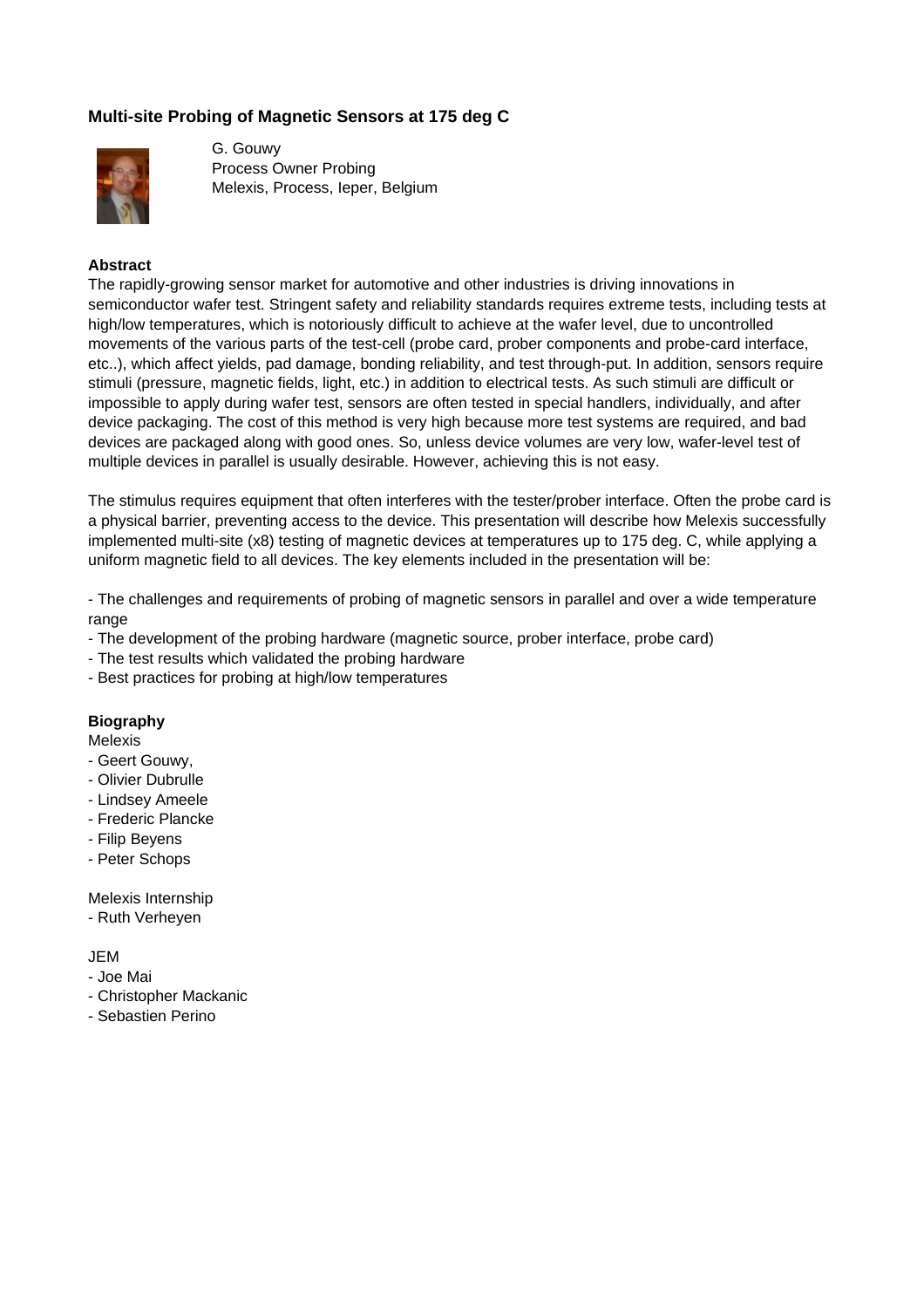## **Multi-site Probing of Magnetic Sensors at 175 deg C**



G. Gouwy Process Owner Probing Melexis, Process, Ieper, Belgium

## **Abstract**

The rapidly-growing sensor market for automotive and other industries is driving innovations in semiconductor wafer test. Stringent safety and reliability standards requires extreme tests, including tests at high/low temperatures, which is notoriously difficult to achieve at the wafer level, due to uncontrolled movements of the various parts of the test-cell (probe card, prober components and probe-card interface, etc..), which affect yields, pad damage, bonding reliability, and test through-put. In addition, sensors require stimuli (pressure, magnetic fields, light, etc.) in addition to electrical tests. As such stimuli are difficult or impossible to apply during wafer test, sensors are often tested in special handlers, individually, and after device packaging. The cost of this method is very high because more test systems are required, and bad devices are packaged along with good ones. So, unless device volumes are very low, wafer-level test of multiple devices in parallel is usually desirable. However, achieving this is not easy.

The stimulus requires equipment that often interferes with the tester/prober interface. Often the probe card is a physical barrier, preventing access to the device. This presentation will describe how Melexis successfully implemented multi-site (x8) testing of magnetic devices at temperatures up to 175 deg. C, while applying a uniform magnetic field to all devices. The key elements included in the presentation will be:

- The challenges and requirements of probing of magnetic sensors in parallel and over a wide temperature range

- The development of the probing hardware (magnetic source, prober interface, probe card)
- The test results which validated the probing hardware
- Best practices for probing at high/low temperatures

### **Biography**

Melexis

- Geert Gouwy,
- Olivier Dubrulle
- Lindsey Ameele
- Frederic Plancke
- Filip Beyens
- Peter Schops

Melexis Internship

- Ruth Verheyen
- JEM
- Joe Mai
- Christopher Mackanic
- Sebastien Perino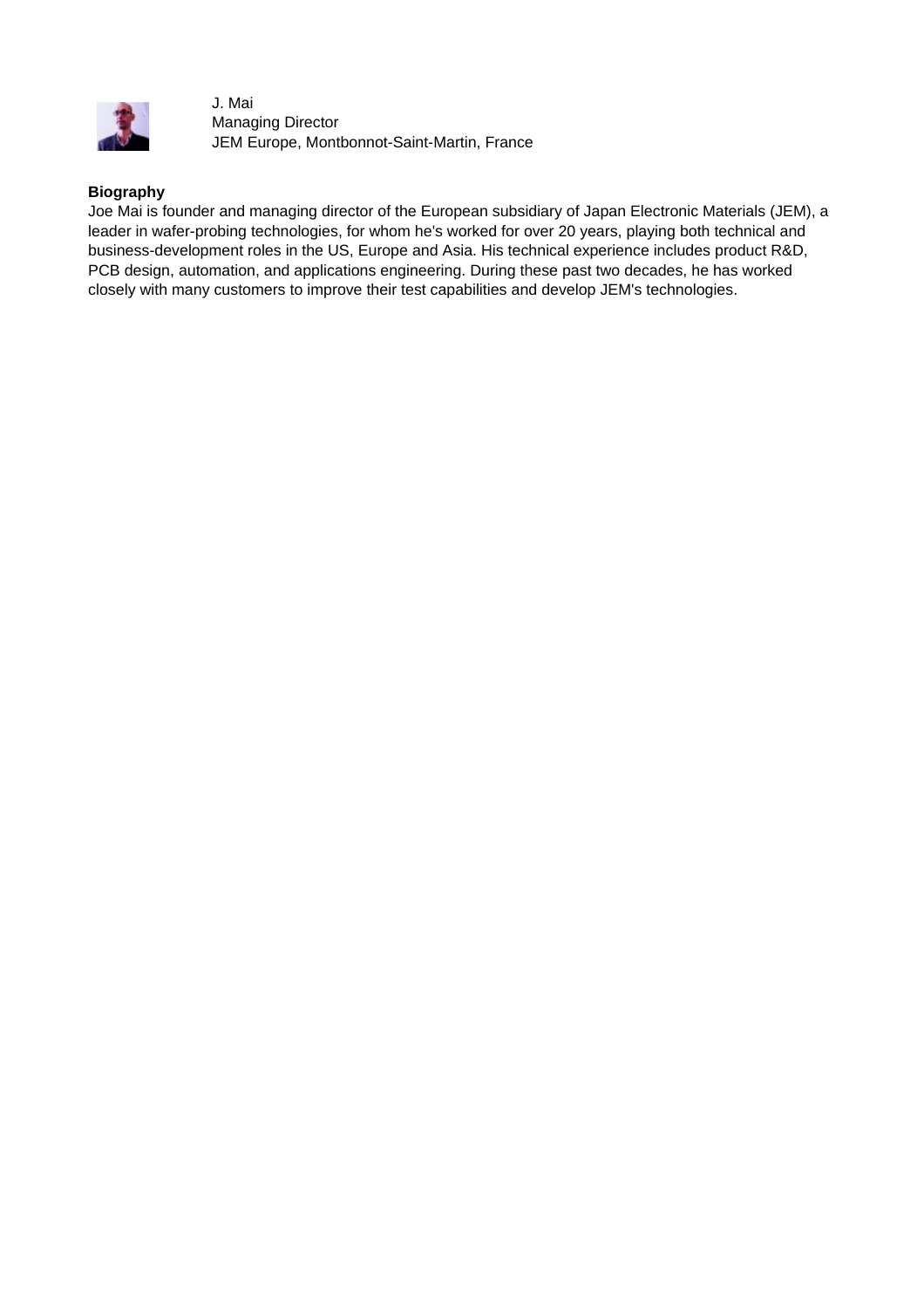

J. Mai Managing Director JEM Europe, Montbonnot-Saint-Martin, France

## **Biography**

Joe Mai is founder and managing director of the European subsidiary of Japan Electronic Materials (JEM), a leader in wafer-probing technologies, for whom he's worked for over 20 years, playing both technical and business-development roles in the US, Europe and Asia. His technical experience includes product R&D, PCB design, automation, and applications engineering. During these past two decades, he has worked closely with many customers to improve their test capabilities and develop JEM's technologies.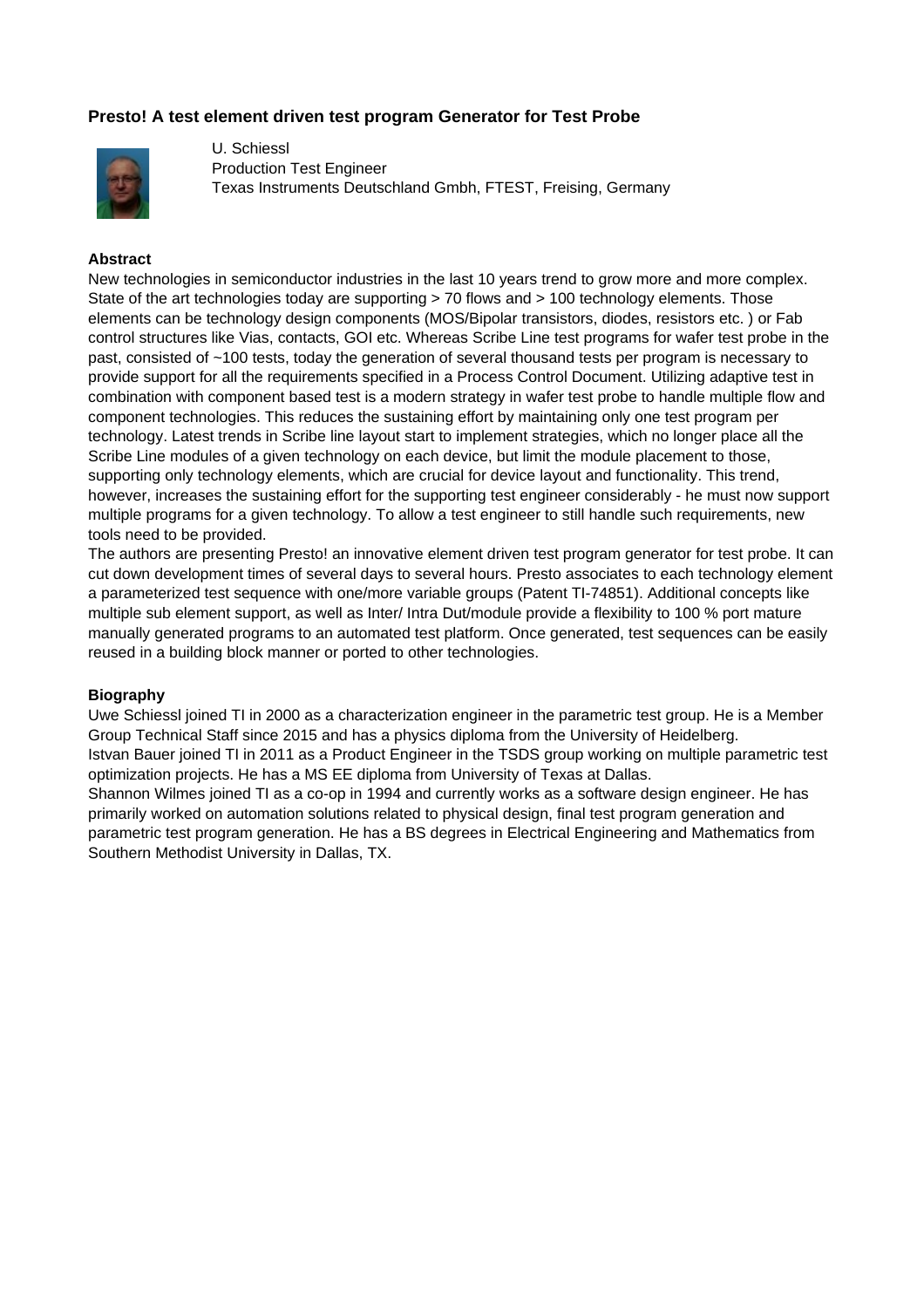## **Presto! A test element driven test program Generator for Test Probe**



U. Schiessl Production Test Engineer Texas Instruments Deutschland Gmbh, FTEST, Freising, Germany

#### **Abstract**

New technologies in semiconductor industries in the last 10 years trend to grow more and more complex. State of the art technologies today are supporting > 70 flows and > 100 technology elements. Those elements can be technology design components (MOS/Bipolar transistors, diodes, resistors etc. ) or Fab control structures like Vias, contacts, GOI etc. Whereas Scribe Line test programs for wafer test probe in the past, consisted of ~100 tests, today the generation of several thousand tests per program is necessary to provide support for all the requirements specified in a Process Control Document. Utilizing adaptive test in combination with component based test is a modern strategy in wafer test probe to handle multiple flow and component technologies. This reduces the sustaining effort by maintaining only one test program per technology. Latest trends in Scribe line layout start to implement strategies, which no longer place all the Scribe Line modules of a given technology on each device, but limit the module placement to those, supporting only technology elements, which are crucial for device layout and functionality. This trend, however, increases the sustaining effort for the supporting test engineer considerably - he must now support multiple programs for a given technology. To allow a test engineer to still handle such requirements, new tools need to be provided.

The authors are presenting Presto! an innovative element driven test program generator for test probe. It can cut down development times of several days to several hours. Presto associates to each technology element a parameterized test sequence with one/more variable groups (Patent TI-74851). Additional concepts like multiple sub element support, as well as Inter/ Intra Dut/module provide a flexibility to 100 % port mature manually generated programs to an automated test platform. Once generated, test sequences can be easily reused in a building block manner or ported to other technologies.

#### **Biography**

Uwe Schiessl joined TI in 2000 as a characterization engineer in the parametric test group. He is a Member Group Technical Staff since 2015 and has a physics diploma from the University of Heidelberg. Istvan Bauer joined TI in 2011 as a Product Engineer in the TSDS group working on multiple parametric test optimization projects. He has a MS EE diploma from University of Texas at Dallas. Shannon Wilmes joined TI as a co-op in 1994 and currently works as a software design engineer. He has primarily worked on automation solutions related to physical design, final test program generation and parametric test program generation. He has a BS degrees in Electrical Engineering and Mathematics from Southern Methodist University in Dallas, TX.